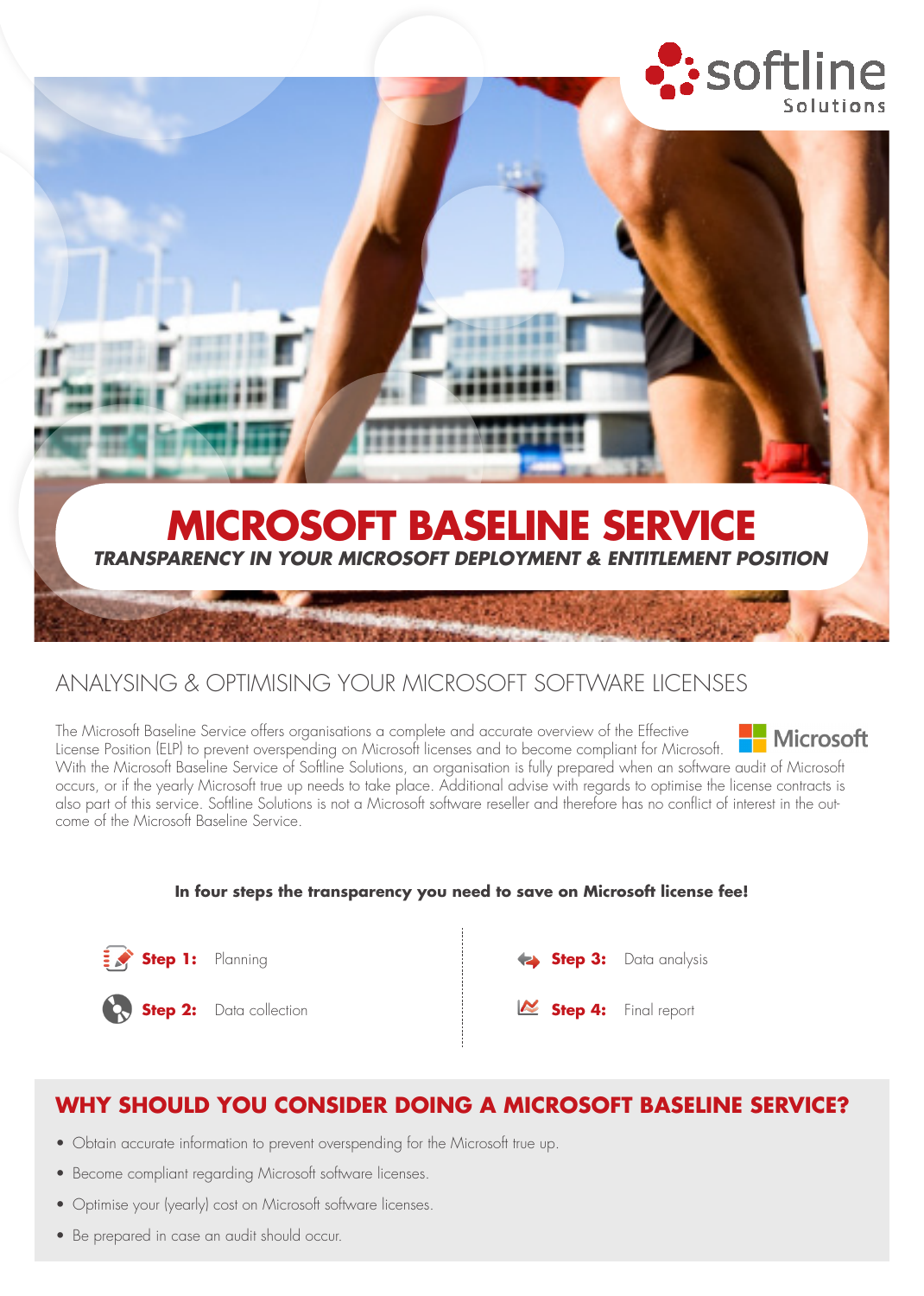

# ANALYSING & OPTIMISING YOUR MICROSOFT SOFTWARE LICENSES

The Microsoft Baseline Service offers organisations a complete and accurate overview of the Effective **Microsoft** License Position (ELP) to prevent overspending on Microsoft licenses and to become compliant for Microsoft. With the Microsoft Baseline Service of Softline Solutions, an organisation is fully prepared when an software audit of Microsoft occurs, or if the yearly Microsoft true up needs to take place. Additional advise with regards to optimise the license contracts is also part of this service. Softline Solutions is not a Microsoft software reseller and therefore has no conflict of interest in the outcome of the Microsoft Baseline Service.

### **In four steps the transparency you need to save on Microsoft license fee!**





**Step 2:** Data collection



## **WHY SHOULD YOU CONSIDER DOING A MICROSOFT BASELINE SERVICE?**

- Obtain accurate information to prevent overspending for the Microsoft true up.
- Become compliant regarding Microsoft software licenses.
- Optimise your (yearly) cost on Microsoft software licenses.
- Be prepared in case an audit should occur.